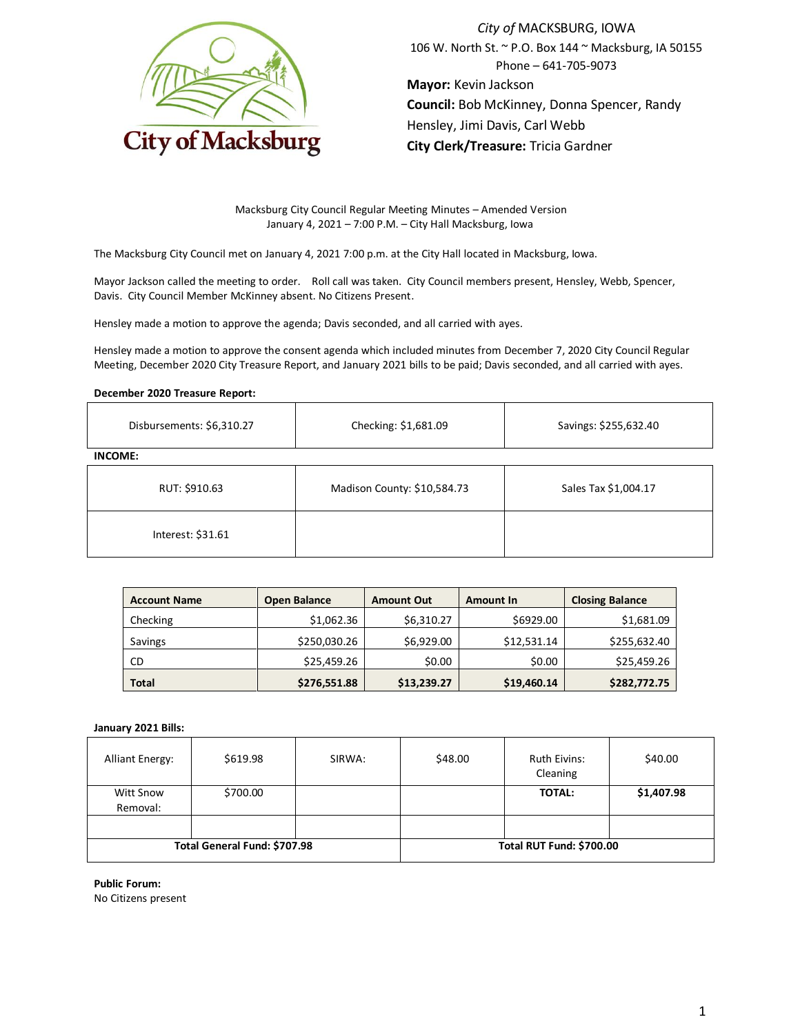

*City of* MACKSBURG, IOWA 106 W. North St. ~ P.O. Box 144 ~ Macksburg, IA 50155 Phone – 641-705-9073 **Mayor:** Kevin Jackson **Council:** Bob McKinney, Donna Spencer, Randy Hensley, Jimi Davis, Carl Webb **City Clerk/Treasure:** Tricia Gardner

Macksburg City Council Regular Meeting Minutes – Amended Version January 4, 2021 – 7:00 P.M. – City Hall Macksburg, Iowa

The Macksburg City Council met on January 4, 2021 7:00 p.m. at the City Hall located in Macksburg, Iowa.

Mayor Jackson called the meeting to order. Roll call was taken. City Council members present, Hensley, Webb, Spencer, Davis. City Council Member McKinney absent. No Citizens Present.

Hensley made a motion to approve the agenda; Davis seconded, and all carried with ayes.

Hensley made a motion to approve the consent agenda which included minutes from December 7, 2020 City Council Regular Meeting, December 2020 City Treasure Report, and January 2021 bills to be paid; Davis seconded, and all carried with ayes.

#### **December 2020 Treasure Report:**

| Disbursements: \$6,310.27 | Checking: \$1,681.09        | Savings: \$255,632.40 |
|---------------------------|-----------------------------|-----------------------|
| <b>INCOME:</b>            |                             |                       |
| RUT: \$910.63             | Madison County: \$10,584.73 | Sales Tax \$1,004.17  |
| Interest: \$31.61         |                             |                       |

| <b>Account Name</b> | <b>Open Balance</b> | <b>Amount Out</b> | <b>Amount In</b> | <b>Closing Balance</b> |
|---------------------|---------------------|-------------------|------------------|------------------------|
| Checking            | \$1,062.36          | \$6,310.27        | \$6929.00        | \$1,681.09             |
| Savings             | \$250,030.26        | \$6,929.00        | \$12,531.14      | \$255,632.40           |
| CD                  | \$25,459.26         | \$0.00            | \$0.00           | \$25,459.26            |
| <b>Total</b>        | \$276,551.88        | \$13,239.27       | \$19,460.14      | \$282,772.75           |

#### **January 2021 Bills:**

| <b>Alliant Energy:</b>       | \$619.98 | SIRWA:                   | \$48.00 | <b>Ruth Eivins:</b><br>Cleaning | \$40.00    |
|------------------------------|----------|--------------------------|---------|---------------------------------|------------|
| Witt Snow<br>Removal:        | \$700.00 |                          |         | <b>TOTAL:</b>                   | \$1,407.98 |
|                              |          |                          |         |                                 |            |
| Total General Fund: \$707.98 |          | Total RUT Fund: \$700.00 |         |                                 |            |

**Public Forum:**

No Citizens present